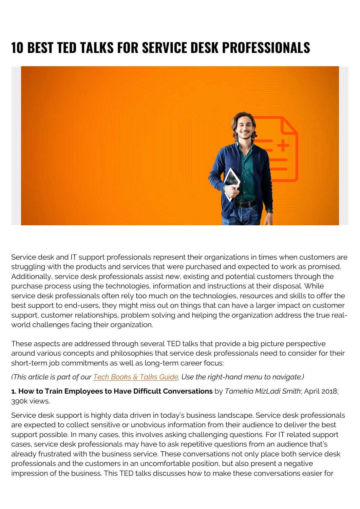# **10 BEST TED TALKS FOR SERVICE DESK PROFESSIONALS**



Service desk and IT support professionals represent their organizations in times when customers are struggling with the products and services that were purchased and expected to work as promised. Additionally, service desk professionals assist new, existing and potential customers through the purchase process using the technologies, information and instructions at their disposal. While service desk professionals often rely too much on the technologies, resources and skills to offer the best support to end-users, they might miss out on things that can have a larger impact on customer support, customer relationships, problem solving and helping the organization address the true realworld challenges facing their organization.

These aspects are addressed through several TED talks that provide a big picture perspective around various concepts and philosophies that service desk professionals need to consider for their short-term job commitments as well as long-term career focus:

## *(This article is part of our [Tech Books & Talks Guide.](https://blogs.bmc.com/blogs/itsm-books/) Use the right-hand menu to navigate.)*

## **1. How to Train Employees to Have Difficult Conversations** by *Tamekia MizLadi Smith*; April 2018; 390k views.

Service desk support is highly data driven in today's business landscape. Service desk professionals are expected to collect sensitive or unobvious information from their audience to deliver the best support possible. In many cases, this involves asking challenging questions. For IT related support cases, service desk professionals may have to ask repetitive questions from an audience that's already frustrated with the business service. These conversations not only place both service desk professionals and the customers in an uncomfortable position, but also present a negative impression of the business. This TED talks discusses how to make these conversations easier for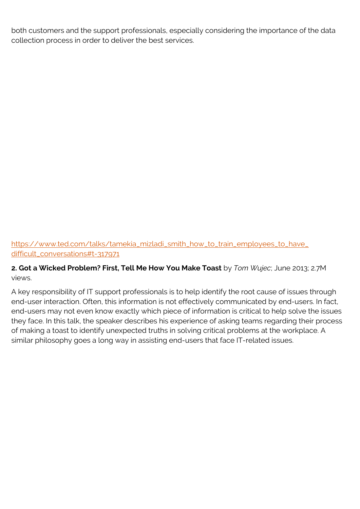both customers and the support professionals, especially considering the importance of the data collection process in order to deliver the best services.

[https://www.ted.com/talks/tamekia\\_mizladi\\_smith\\_how\\_to\\_train\\_employees\\_to\\_have\\_](https://www.ted.com/talks/tamekia_mizladi_smith_how_to_train_employees_to_have_difficult_conversations#t-317971) [difficult\\_conversations#t-317971](https://www.ted.com/talks/tamekia_mizladi_smith_how_to_train_employees_to_have_difficult_conversations#t-317971)

**2. Got a Wicked Problem? First, Tell Me How You Make Toast** by *Tom Wujec*; June 2013; 2.7M views.

A key responsibility of IT support professionals is to help identify the root cause of issues through end-user interaction. Often, this information is not effectively communicated by end-users. In fact, end-users may not even know exactly which piece of information is critical to help solve the issues they face. In this talk, the speaker describes his experience of asking teams regarding their process of making a toast to identify unexpected truths in solving critical problems at the workplace. A similar philosophy goes a long way in assisting end-users that face IT-related issues.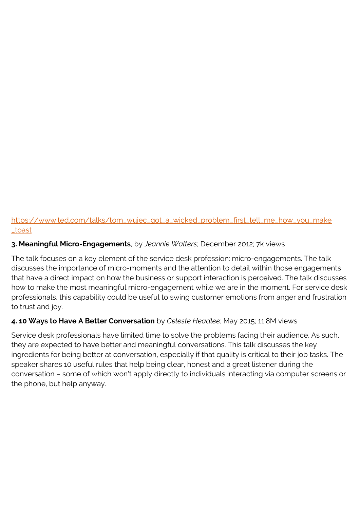# [https://www.ted.com/talks/tom\\_wujec\\_got\\_a\\_wicked\\_problem\\_first\\_tell\\_me\\_how\\_you\\_make](https://www.ted.com/talks/tom_wujec_got_a_wicked_problem_first_tell_me_how_you_make_toast) [\\_toast](https://www.ted.com/talks/tom_wujec_got_a_wicked_problem_first_tell_me_how_you_make_toast)

# **3. Meaningful Micro-Engagements**, by *Jeannie Walters*; December 2012; 7k views

The talk focuses on a key element of the service desk profession: micro-engagements. The talk discusses the importance of micro-moments and the attention to detail within those engagements that have a direct impact on how the business or support interaction is perceived. The talk discusses how to make the most meaningful micro-engagement while we are in the moment. For service desk professionals, this capability could be useful to swing customer emotions from anger and frustration to trust and joy.

# **4. 10 Ways to Have A Better Conversation** by *Celeste Headlee*; May 2015; 11.8M views

Service desk professionals have limited time to solve the problems facing their audience. As such, they are expected to have better and meaningful conversations. This talk discusses the key ingredients for being better at conversation, especially if that quality is critical to their job tasks. The speaker shares 10 useful rules that help being clear, honest and a great listener during the conversation – some of which won't apply directly to individuals interacting via computer screens or the phone, but help anyway.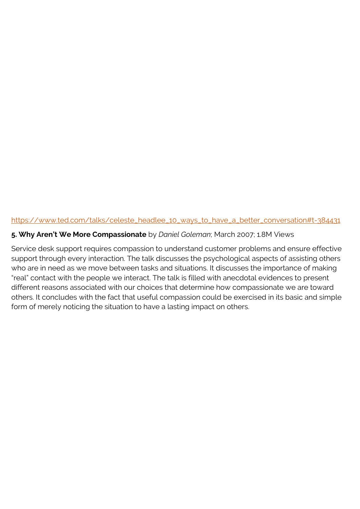#### [https://www.ted.com/talks/celeste\\_headlee\\_10\\_ways\\_to\\_have\\_a\\_better\\_conversation#t-384431](https://www.ted.com/talks/celeste_headlee_10_ways_to_have_a_better_conversation#t-384431)

#### **5. Why Aren't We More Compassionate** by *Daniel Goleman*; March 2007; 1.8M Views

Service desk support requires compassion to understand customer problems and ensure effective support through every interaction. The talk discusses the psychological aspects of assisting others who are in need as we move between tasks and situations. It discusses the importance of making "real" contact with the people we interact. The talk is filled with anecdotal evidences to present different reasons associated with our choices that determine how compassionate we are toward others. It concludes with the fact that useful compassion could be exercised in its basic and simple form of merely noticing the situation to have a lasting impact on others.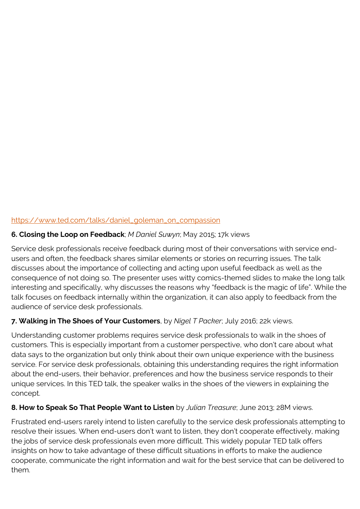# [https://www.ted.com/talks/daniel\\_goleman\\_on\\_compassion](https://web.archive.org/web/20180904194259/https://www.ted.com/talks/daniel_goleman_on_compassion)

## **6. Closing the Loop on Feedback**; *M Daniel Suwyn*; May 2015; 17k views

Service desk professionals receive feedback during most of their conversations with service endusers and often, the feedback shares similar elements or stories on recurring issues. The talk discusses about the importance of collecting and acting upon useful feedback as well as the consequence of not doing so. The presenter uses witty comics-themed slides to make the long talk interesting and specifically, why discusses the reasons why "feedback is the magic of life". While the talk focuses on feedback internally within the organization, it can also apply to feedback from the audience of service desk professionals.

## **7. Walking in The Shoes of Your Customers**, by *Nigel T Packer*; July 2016; 22k views.

Understanding customer problems requires service desk professionals to walk in the shoes of customers. This is especially important from a customer perspective, who don't care about what data says to the organization but only think about their own unique experience with the business service. For service desk professionals, obtaining this understanding requires the right information about the end-users, their behavior, preferences and how the business service responds to their unique services. In this TED talk, the speaker walks in the shoes of the viewers in explaining the concept.

## **8. How to Speak So That People Want to Listen** by *Julian Treasure*; June 2013; 28M views.

Frustrated end-users rarely intend to listen carefully to the service desk professionals attempting to resolve their issues. When end-users don't want to listen, they don't cooperate effectively, making the jobs of service desk professionals even more difficult. This widely popular TED talk offers insights on how to take advantage of these difficult situations in efforts to make the audience cooperate, communicate the right information and wait for the best service that can be delivered to them.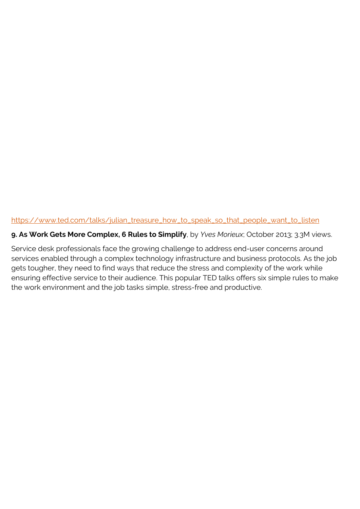#### [https://www.ted.com/talks/julian\\_treasure\\_how\\_to\\_speak\\_so\\_that\\_people\\_want\\_to\\_listen](https://www.ted.com/talks/julian_treasure_how_to_speak_so_that_people_want_to_listen)

#### **9. As Work Gets More Complex, 6 Rules to Simplify**, by *Yves Morieux*; October 2013; 3.3M views.

Service desk professionals face the growing challenge to address end-user concerns around services enabled through a complex technology infrastructure and business protocols. As the job gets tougher, they need to find ways that reduce the stress and complexity of the work while ensuring effective service to their audience. This popular TED talks offers six simple rules to make the work environment and the job tasks simple, stress-free and productive.